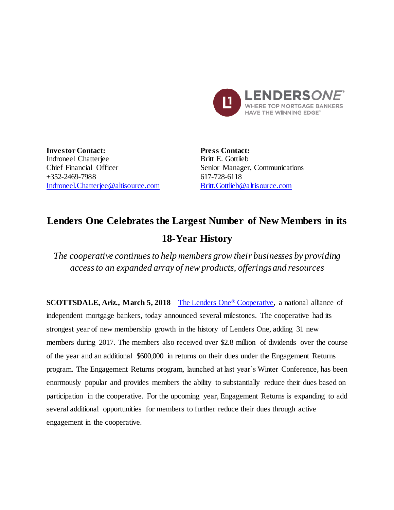

**Investor Contact:** Indroneel Chatterjee Chief Financial Officer +352-2469-7988 [Indroneel.Chatterjee@altisource.com](mailto:Indroneel.Chatterjee@altisource.com) **Press Contact:** Britt E. Gottlieb Senior Manager, Communications 617-728-6118 [Britt.Gottlieb@altisource.com](mailto:Britt.Gottlieb@altisource.com)

## **Lenders One Celebrates the Largest Number of New Members in its 18-Year History**

*The cooperative continues to help members grow their businesses by providing access to an expanded array of new products, offeringsand resources*

**SCOTTSDALE, Ariz., March 5, 2018** – [The Lenders One](http://lendersone.com/?utm_campaign=L1WinterConference2018&utm_source=PR&utm_medium=PR&utm_content=first)® Cooperative, a national alliance of independent mortgage bankers, today announced several milestones. The cooperative had its strongest year of new membership growth in the history of Lenders One, adding 31 new members during 2017. The members also received over \$2.8 million of dividends over the course of the year and an additional \$600,000 in returns on their dues under the Engagement Returns program. The Engagement Returns program, launched at last year's Winter Conference, has been enormously popular and provides members the ability to substantially reduce their dues based on participation in the cooperative. For the upcoming year, Engagement Returns is expanding to add several additional opportunities for members to further reduce their dues through active engagement in the cooperative.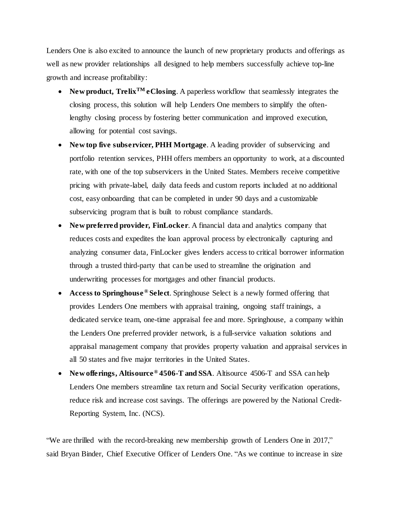Lenders One is also excited to announce the launch of new proprietary products and offerings as well as new provider relationships all designed to help members successfully achieve top-line growth and increase profitability:

- New product, Trelix<sup>TM</sup> **eClosing**. A paperless workflow that seamlessly integrates the closing process, this solution will help Lenders One members to simplify the oftenlengthy closing process by fostering better communication and improved execution, allowing for potential cost savings.
- **New top five subservicer, PHH Mortgage**. A leading provider of subservicing and portfolio retention services, PHH offers members an opportunity to work, at a discounted rate, with one of the top subservicers in the United States. Members receive competitive pricing with private-label, daily data feeds and custom reports included at no additional cost, easy onboarding that can be completed in under 90 days and a customizable subservicing program that is built to robust compliance standards.
- **New preferred provider, FinLocker**. A financial data and analytics company that reduces costs and expedites the loan approval process by electronically capturing and analyzing consumer data, FinLocker gives lenders access to critical borrower information through a trusted third-party that can be used to streamline the origination and underwriting processes for mortgages and other financial products.
- **Access to Springhouse ® Select**. Springhouse Select is a newly formed offering that provides Lenders One members with appraisal training, ongoing staff trainings, a dedicated service team, one-time appraisal fee and more. Springhouse, a company within the Lenders One preferred provider network, is a full-service valuation solutions and appraisal management company that provides property valuation and appraisal services in all 50 states and five major territories in the United States.
- **New offerings, Altisource® 4506-T and SSA**. Altisource 4506-T and SSA can help Lenders One members streamline tax return and Social Security verification operations, reduce risk and increase cost savings. The offerings are powered by the National Credit-Reporting System, Inc. (NCS).

"We are thrilled with the record-breaking new membership growth of Lenders One in 2017," said Bryan Binder, Chief Executive Officer of Lenders One. "As we continue to increase in size